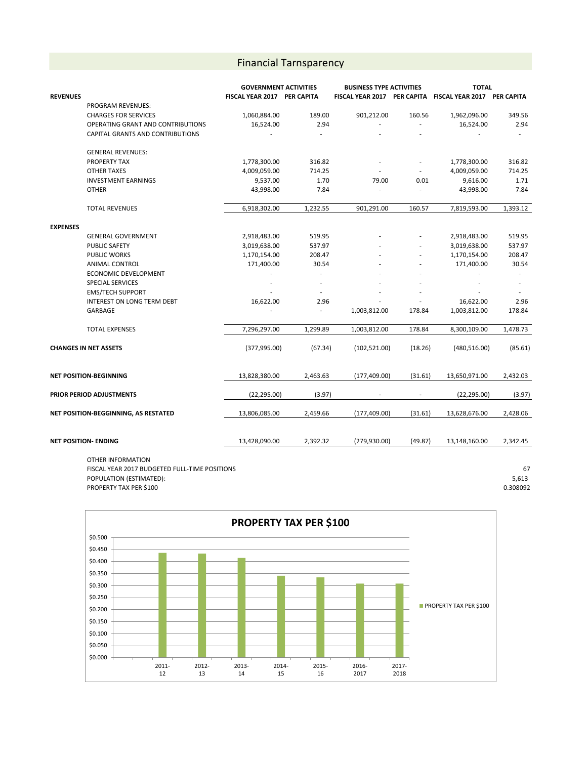## Financial Tarnsparency

|                                      |                                         | <b>GOVERNMENT ACTIVITIES</b> |                          | <b>BUSINESS TYPE ACTIVITIES</b> |         | <b>TOTAL</b>                |          |
|--------------------------------------|-----------------------------------------|------------------------------|--------------------------|---------------------------------|---------|-----------------------------|----------|
| <b>REVENUES</b>                      |                                         | FISCAL YEAR 2017 PER CAPITA  |                          | FISCAL YEAR 2017 PER CAPITA     |         | FISCAL YEAR 2017 PER CAPITA |          |
|                                      | PROGRAM REVENUES:                       |                              |                          |                                 |         |                             |          |
|                                      | <b>CHARGES FOR SERVICES</b>             | 1,060,884.00                 | 189.00                   | 901,212.00                      | 160.56  | 1,962,096.00                | 349.56   |
|                                      | OPERATING GRANT AND CONTRIBUTIONS       | 16,524.00                    | 2.94                     | ÷                               | ÷.      | 16,524.00                   | 2.94     |
|                                      | <b>CAPITAL GRANTS AND CONTRIBUTIONS</b> |                              | ÷,                       |                                 |         |                             |          |
|                                      | <b>GENERAL REVENUES:</b>                |                              |                          |                                 |         |                             |          |
|                                      | PROPERTY TAX                            | 1,778,300.00                 | 316.82                   |                                 | ÷,      | 1,778,300.00                | 316.82   |
|                                      | <b>OTHER TAXES</b>                      | 4,009,059.00                 | 714.25                   |                                 |         | 4,009,059.00                | 714.25   |
|                                      | <b>INVESTMENT EARNINGS</b>              | 9,537.00                     | 1.70                     | 79.00                           | 0.01    | 9,616.00                    | 1.71     |
|                                      | <b>OTHER</b>                            | 43,998.00                    | 7.84                     | ä,                              |         | 43,998.00                   | 7.84     |
|                                      | <b>TOTAL REVENUES</b>                   | 6,918,302.00                 | 1,232.55                 | 901,291.00                      | 160.57  | 7,819,593.00                | 1,393.12 |
| <b>EXPENSES</b>                      |                                         |                              |                          |                                 |         |                             |          |
|                                      | <b>GENERAL GOVERNMENT</b>               | 2,918,483.00                 | 519.95                   |                                 |         | 2,918,483.00                | 519.95   |
|                                      | PUBLIC SAFETY                           | 3,019,638.00                 | 537.97                   |                                 |         | 3,019,638.00                | 537.97   |
|                                      | <b>PUBLIC WORKS</b>                     | 1,170,154.00                 | 208.47                   |                                 |         | 1,170,154.00                | 208.47   |
|                                      | ANIMAL CONTROL                          | 171,400.00                   | 30.54                    |                                 |         | 171,400.00                  | 30.54    |
|                                      | <b>ECONOMIC DEVELOPMENT</b>             |                              |                          |                                 |         |                             |          |
|                                      | <b>SPECIAL SERVICES</b>                 |                              |                          |                                 |         |                             |          |
|                                      | <b>EMS/TECH SUPPORT</b>                 |                              |                          |                                 |         |                             |          |
|                                      | INTEREST ON LONG TERM DEBT              | 16,622.00                    | 2.96                     |                                 |         | 16,622.00                   | 2.96     |
|                                      | <b>GARBAGE</b>                          |                              | $\overline{\phantom{a}}$ | 1,003,812.00                    | 178.84  | 1,003,812.00                | 178.84   |
|                                      | <b>TOTAL EXPENSES</b>                   | 7,296,297.00                 | 1,299.89                 | 1,003,812.00                    | 178.84  | 8,300,109.00                | 1,478.73 |
| <b>CHANGES IN NET ASSETS</b>         |                                         | (377, 995.00)                | (67.34)                  | (102, 521.00)                   | (18.26) | (480, 516.00)               | (85.61)  |
| <b>NET POSITION-BEGINNING</b>        |                                         | 13,828,380.00                | 2,463.63                 | (177, 409.00)                   | (31.61) | 13,650,971.00               | 2,432.03 |
| PRIOR PERIOD ADJUSTMENTS             |                                         | (22, 295.00)                 | (3.97)                   |                                 | ÷,      | (22, 295.00)                | (3.97)   |
| NET POSITION-BEGGINNING, AS RESTATED |                                         | 13,806,085.00                | 2,459.66                 | (177, 409.00)                   | (31.61) | 13,628,676.00               | 2,428.06 |
|                                      |                                         |                              |                          |                                 |         |                             |          |
| <b>NET POSITION- ENDING</b>          |                                         | 13,428,090.00                | 2,392.32                 | (279, 930.00)                   | (49.87) | 13,148,160.00               | 2,342.45 |

OTHER INFORMATION FISCAL YEAR 2017 BUDGETED FULL-TIME POSITIONS 67 POPULATION (ESTIMATED): 5,613 PROPERTY TAX PER \$100 0.308092